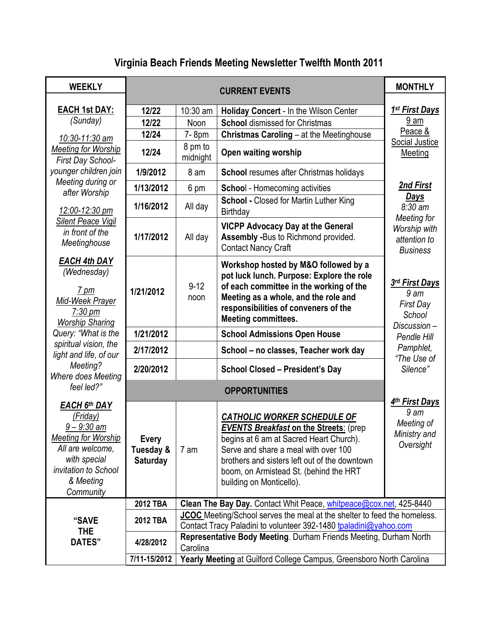# **Virginia Beach Friends Meeting Newsletter Twelfth Month 2011**

| <b>WEEKLY</b>                                                                                                                                                 | <b>CURRENT EVENTS</b>                        |                                                                                                                                              |                                                                                                                                                                                                                                                                                               | <b>MONTHLY</b>                                                                 |  |  |
|---------------------------------------------------------------------------------------------------------------------------------------------------------------|----------------------------------------------|----------------------------------------------------------------------------------------------------------------------------------------------|-----------------------------------------------------------------------------------------------------------------------------------------------------------------------------------------------------------------------------------------------------------------------------------------------|--------------------------------------------------------------------------------|--|--|
| <b>EACH 1st DAY:</b>                                                                                                                                          | 12/22                                        | 10:30 am                                                                                                                                     | <b>Holiday Concert - In the Wilson Center</b>                                                                                                                                                                                                                                                 | 1 <sup>st</sup> First Days                                                     |  |  |
| (Sunday)                                                                                                                                                      | 12/22                                        | Noon                                                                                                                                         | <b>School dismissed for Christmas</b>                                                                                                                                                                                                                                                         | 9 am                                                                           |  |  |
|                                                                                                                                                               | 12/24                                        | 7-8pm                                                                                                                                        | Christmas Caroling - at the Meetinghouse                                                                                                                                                                                                                                                      | Peace &                                                                        |  |  |
| 10:30-11:30 am<br><b>Meeting for Worship</b><br>First Day School-                                                                                             | 12/24                                        | 8 pm to<br>midnight                                                                                                                          | Open waiting worship                                                                                                                                                                                                                                                                          | Social Justice<br>Meeting                                                      |  |  |
| younger children join                                                                                                                                         | 1/9/2012                                     | 8 am                                                                                                                                         | <b>School resumes after Christmas holidays</b>                                                                                                                                                                                                                                                |                                                                                |  |  |
| Meeting during or                                                                                                                                             | 1/13/2012                                    | 6 pm                                                                                                                                         | <b>School</b> - Homecoming activities                                                                                                                                                                                                                                                         | 2nd First                                                                      |  |  |
| after Worship<br>12:00-12:30 pm                                                                                                                               | 1/16/2012                                    | All day                                                                                                                                      | <b>School - Closed for Martin Luther King</b><br><b>Birthday</b>                                                                                                                                                                                                                              | <b>Days</b><br>8:30 am                                                         |  |  |
| Silent Peace Vigil<br>in front of the<br>Meetinghouse                                                                                                         | 1/17/2012                                    | All day                                                                                                                                      | <b>VICPP Advocacy Day at the General</b><br><b>Assembly -Bus to Richmond provided.</b><br><b>Contact Nancy Craft</b>                                                                                                                                                                          | Meeting for<br>Worship with<br>attention to<br><b>Business</b>                 |  |  |
| <b>EACH 4th DAY</b><br>(Wednesday)<br>$7 \text{ pm}$<br>Mid-Week Prayer<br>$7:30 \text{ pm}$<br><b>Worship Sharing</b>                                        | 1/21/2012                                    | $9 - 12$<br>noon                                                                                                                             | Workshop hosted by M&O followed by a<br>pot luck lunch. Purpose: Explore the role<br>of each committee in the working of the<br>Meeting as a whole, and the role and<br>responsibilities of conveners of the<br><b>Meeting committees.</b>                                                    | 3rd First Days<br>9 <sub>am</sub><br><b>First Day</b><br>School<br>Discussion- |  |  |
| Query: "What is the                                                                                                                                           | 1/21/2012                                    |                                                                                                                                              | <b>School Admissions Open House</b>                                                                                                                                                                                                                                                           | Pendle Hill                                                                    |  |  |
| spiritual vision, the<br>light and life, of our                                                                                                               | 2/17/2012                                    |                                                                                                                                              | School - no classes, Teacher work day                                                                                                                                                                                                                                                         | Pamphlet,<br>"The Use of                                                       |  |  |
| Meeting?<br>Where does Meeting                                                                                                                                | 2/20/2012                                    |                                                                                                                                              | <b>School Closed - President's Day</b>                                                                                                                                                                                                                                                        | Silence"                                                                       |  |  |
| feel led?"                                                                                                                                                    |                                              |                                                                                                                                              |                                                                                                                                                                                                                                                                                               |                                                                                |  |  |
| EACH 6th DAY<br>(Friday)<br>$9 - 9:30$ am<br><b>Meeting for Worship</b><br>All are welcome,<br>with special<br>invitation to School<br>& Meeting<br>Community | <b>Every</b><br>Tuesday &<br><b>Saturday</b> | 7 am                                                                                                                                         | <b>CATHOLIC WORKER SCHEDULE OF</b><br><b>EVENTS Breakfast on the Streets: (prep</b><br>begins at 6 am at Sacred Heart Church).<br>Serve and share a meal with over 100<br>brothers and sisters left out of the downtown<br>boom, on Armistead St. (behind the HRT<br>building on Monticello). | 4th First Days<br>9 am<br>Meeting of<br>Ministry and<br>Oversight              |  |  |
|                                                                                                                                                               | <b>2012 TBA</b>                              | Clean The Bay Day. Contact Whit Peace, whitpeace@cox.net, 425-8440                                                                           |                                                                                                                                                                                                                                                                                               |                                                                                |  |  |
| "SAVE<br>THE                                                                                                                                                  | <b>2012 TBA</b>                              | JCOC Meeting/School serves the meal at the shelter to feed the homeless.<br>Contact Tracy Paladini to volunteer 392-1480 tpaladini@yahoo.com |                                                                                                                                                                                                                                                                                               |                                                                                |  |  |
| DATES"                                                                                                                                                        | 4/28/2012                                    | Representative Body Meeting. Durham Friends Meeting, Durham North<br>Carolina                                                                |                                                                                                                                                                                                                                                                                               |                                                                                |  |  |
|                                                                                                                                                               | 7/11-15/2012                                 | Yearly Meeting at Guilford College Campus, Greensboro North Carolina                                                                         |                                                                                                                                                                                                                                                                                               |                                                                                |  |  |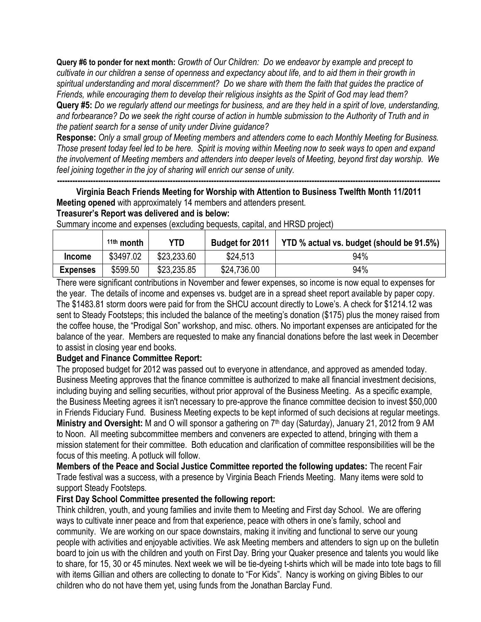**Query #6 to ponder for next month:** *Growth of Our Children: Do we endeavor by example and precept to cultivate in our children a sense of openness and expectancy about life, and to aid them in their growth in spiritual understanding and moral discernment? Do we share with them the faith that guides the practice of Friends, while encouraging them to develop their religious insights as the Spirit of God may lead them?* **Query #5:** *Do we regularly attend our meetings for business, and are they held in a spirit of love, understanding, and forbearance? Do we seek the right course of action in humble submission to the Authority of Truth and in the patient search for a sense of unity under Divine guidance?* 

**Response:** *Only a small group of Meeting members and attenders come to each Monthly Meeting for Business. Those present today feel led to be here. Spirit is moving within Meeting now to seek ways to open and expand the involvement of Meeting members and attenders into deeper levels of Meeting, beyond first day worship. We feel joining together in the joy of sharing will enrich our sense of unity.*

**----------------------------------------------------------------------------------------------------------------------------------------------------- Virginia Beach Friends Meeting for Worship with Attention to Business Twelfth Month 11/2011 Meeting opened** with approximately 14 members and attenders present.

# **Treasurer's Report was delivered and is below:**

|                 | $11th$ month | YTD         | <b>Budget for 2011</b> | YTD % actual vs. budget (should be 91.5%) |
|-----------------|--------------|-------------|------------------------|-------------------------------------------|
| <b>Income</b>   | \$3497.02    | \$23,233.60 | \$24,513               | 94%                                       |
| <b>Expenses</b> | \$599.50     | \$23,235.85 | \$24,736.00            | 94%                                       |

Summary income and expenses (excluding bequests, capital, and HRSD project)

There were significant contributions in November and fewer expenses, so income is now equal to expenses for the year. The details of income and expenses vs. budget are in a spread sheet report available by paper copy. The \$1483.81 storm doors were paid for from the SHCU account directly to Lowe's. A check for \$1214.12 was sent to Steady Footsteps; this included the balance of the meeting's donation (\$175) plus the money raised from the coffee house, the "Prodigal Son" workshop, and misc. others. No important expenses are anticipated for the balance of the year. Members are requested to make any financial donations before the last week in December to assist in closing year end books.

# **Budget and Finance Committee Report:**

The proposed budget for 2012 was passed out to everyone in attendance, and approved as amended today. Business Meeting approves that the finance committee is authorized to make all financial investment decisions, including buying and selling securities, without prior approval of the Business Meeting. As a specific example, the Business Meeting agrees it isn't necessary to pre-approve the finance committee decision to invest \$50,000 in Friends Fiduciary Fund. Business Meeting expects to be kept informed of such decisions at regular meetings. Ministry and Oversight: M and O will sponsor a gathering on 7<sup>th</sup> day (Saturday), January 21, 2012 from 9 AM to Noon. All meeting subcommittee members and conveners are expected to attend, bringing with them a mission statement for their committee. Both education and clarification of committee responsibilities will be the focus of this meeting. A potluck will follow.

**Members of the Peace and Social Justice Committee reported the following updates:** The recent Fair Trade festival was a success, with a presence by Virginia Beach Friends Meeting. Many items were sold to support Steady Footsteps.

# **First Day School Committee presented the following report:**

Think children, youth, and young families and invite them to Meeting and First day School. We are offering ways to cultivate inner peace and from that experience, peace with others in one's family, school and community. We are working on our space downstairs, making it inviting and functional to serve our young people with activities and enjoyable activities. We ask Meeting members and attenders to sign up on the bulletin board to join us with the children and youth on First Day. Bring your Quaker presence and talents you would like to share, for 15, 30 or 45 minutes. Next week we will be tie-dyeing t-shirts which will be made into tote bags to fill with items Gillian and others are collecting to donate to "For Kids". Nancy is working on giving Bibles to our children who do not have them yet, using funds from the Jonathan Barclay Fund.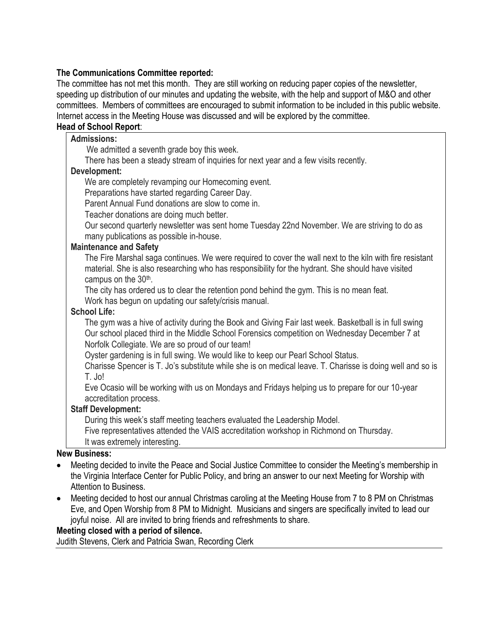# **The Communications Committee reported:**

The committee has not met this month. They are still working on reducing paper copies of the newsletter, speeding up distribution of our minutes and updating the website, with the help and support of M&O and other committees. Members of committees are encouraged to submit information to be included in this public website. Internet access in the Meeting House was discussed and will be explored by the committee.

# **Head of School Report**:

#### **Admissions:**

We admitted a seventh grade boy this week.

There has been a steady stream of inquiries for next year and a few visits recently.

#### **Development:**

We are completely revamping our Homecoming event.

Preparations have started regarding Career Day.

Parent Annual Fund donations are slow to come in.

Teacher donations are doing much better.

Our second quarterly newsletter was sent home Tuesday 22nd November. We are striving to do as many publications as possible in-house.

#### **Maintenance and Safety**

The Fire Marshal saga continues. We were required to cover the wall next to the kiln with fire resistant material. She is also researching who has responsibility for the hydrant. She should have visited campus on the 30<sup>th</sup>.

The city has ordered us to clear the retention pond behind the gym. This is no mean feat.

Work has begun on updating our safety/crisis manual.

# **School Life:**

The gym was a hive of activity during the Book and Giving Fair last week. Basketball is in full swing Our school placed third in the Middle School Forensics competition on Wednesday December 7 at Norfolk Collegiate. We are so proud of our team!

Oyster gardening is in full swing. We would like to keep our Pearl School Status.

Charisse Spencer is T. Jo's substitute while she is on medical leave. T. Charisse is doing well and so is T. Jo!

Eve Ocasio will be working with us on Mondays and Fridays helping us to prepare for our 10-year accreditation process.

# **Staff Development:**

During this week's staff meeting teachers evaluated the Leadership Model.

Five representatives attended the VAIS accreditation workshop in Richmond on Thursday.

It was extremely interesting.

#### **New Business:**

- Meeting decided to invite the Peace and Social Justice Committee to consider the Meeting's membership in the Virginia Interface Center for Public Policy, and bring an answer to our next Meeting for Worship with Attention to Business.
- Meeting decided to host our annual Christmas caroling at the Meeting House from 7 to 8 PM on Christmas Eve, and Open Worship from 8 PM to Midnight. Musicians and singers are specifically invited to lead our joyful noise. All are invited to bring friends and refreshments to share.

# **Meeting closed with a period of silence.**

Judith Stevens, Clerk and Patricia Swan, Recording Clerk